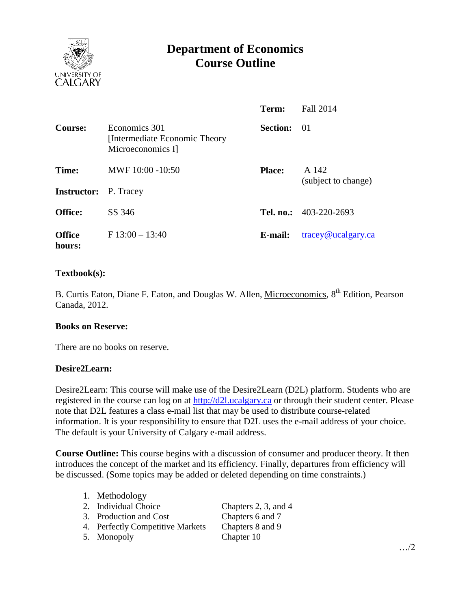

# **Department of Economics Course Outline**

|                             |                                                                       | Term:           | Fall 2014                        |
|-----------------------------|-----------------------------------------------------------------------|-----------------|----------------------------------|
| <b>Course:</b>              | Economics 301<br>[Intermediate Economic Theory –<br>Microeconomics I] | <b>Section:</b> | - 01                             |
| Time:<br><b>Instructor:</b> | MWF 10:00 -10:50<br>P. Tracey                                         | <b>Place:</b>   | A 142<br>(subject to change)     |
| <b>Office:</b>              | SS 346                                                                |                 | Tel. no.: 403-220-2693           |
| <b>Office</b><br>hours:     | $F13:00-13:40$                                                        | E-mail:         | $trace\sqrt{\omega}$ ucalgary.ca |

### **Textbook(s):**

B. Curtis Eaton, Diane F. Eaton, and Douglas W. Allen, Microeconomics, 8<sup>th</sup> Edition, Pearson Canada, 2012.

#### **Books on Reserve:**

There are no books on reserve.

#### **Desire2Learn:**

Desire2Learn: This course will make use of the Desire2Learn (D2L) platform. Students who are registered in the course can log on at [http://d2l.ucalgary.ca](http://d2l.ucalgary.ca/) or through their student center. Please note that D2L features a class e-mail list that may be used to distribute course-related information. It is your responsibility to ensure that D2L uses the e-mail address of your choice. The default is your University of Calgary e-mail address.

**Course Outline:** This course begins with a discussion of consumer and producer theory. It then introduces the concept of the market and its efficiency. Finally, departures from efficiency will be discussed. (Some topics may be added or deleted depending on time constraints.)

| 1. Methodology                   |                      |
|----------------------------------|----------------------|
| 2. Individual Choice             | Chapters 2, 3, and 4 |
| 3. Production and Cost           | Chapters 6 and 7     |
| 4. Perfectly Competitive Markets | Chapters 8 and 9     |
| 5. Monopoly                      | Chapter 10           |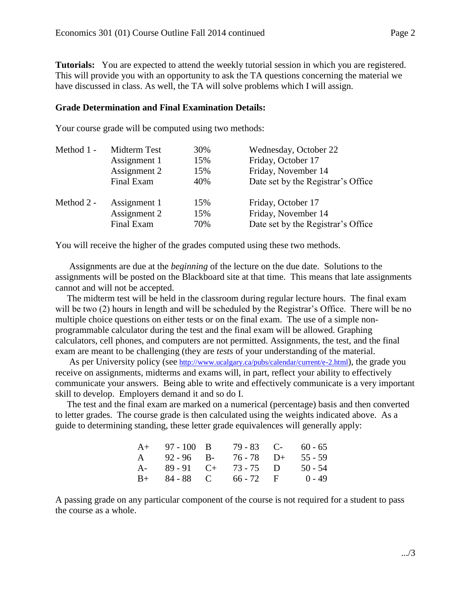**Tutorials:** You are expected to attend the weekly tutorial session in which you are registered. This will provide you with an opportunity to ask the TA questions concerning the material we have discussed in class. As well, the TA will solve problems which I will assign.

#### **Grade Determination and Final Examination Details:**

Your course grade will be computed using two methods:

| Midterm Test | 30% | Wednesday, October 22              |  |
|--------------|-----|------------------------------------|--|
| Assignment 1 | 15% | Friday, October 17                 |  |
| Assignment 2 | 15% | Friday, November 14                |  |
| Final Exam   | 40% | Date set by the Registrar's Office |  |
| Assignment 1 | 15% | Friday, October 17                 |  |
| Assignment 2 | 15% | Friday, November 14                |  |
| Final Exam   | 70% | Date set by the Registrar's Office |  |
|              |     |                                    |  |

You will receive the higher of the grades computed using these two methods.

 Assignments are due at the *beginning* of the lecture on the due date. Solutions to the assignments will be posted on the Blackboard site at that time. This means that late assignments cannot and will not be accepted.

 The midterm test will be held in the classroom during regular lecture hours. The final exam will be two (2) hours in length and will be scheduled by the Registrar's Office. There will be no multiple choice questions on either tests or on the final exam. The use of a simple nonprogrammable calculator during the test and the final exam will be allowed. Graphing calculators, cell phones, and computers are not permitted. Assignments, the test, and the final exam are meant to be challenging (they are *tests* of your understanding of the material.

As per University policy (see <http://www.ucalgary.ca/pubs/calendar/current/e-2.html>), the grade you receive on assignments, midterms and exams will, in part, reflect your ability to effectively communicate your answers. Being able to write and effectively communicate is a very important skill to develop. Employers demand it and so do I.

 The test and the final exam are marked on a numerical (percentage) basis and then converted to letter grades. The course grade is then calculated using the weights indicated above. As a guide to determining standing, these letter grade equivalences will generally apply:

|       | $A+ 97-100 B$    |                                          | $79 - 83$ C- 60 - 65 |
|-------|------------------|------------------------------------------|----------------------|
|       | $A = 92 - 96$ B- | $76 - 78$ D+                             | $55 - 59$            |
| $A$ - | $89 - 91$ C+     | $73 - 75$ D                              | $50 - 54$            |
| $B+$  |                  | 84 - 88       C           66 - 72      F | $0 - 49$             |

A passing grade on any particular component of the course is not required for a student to pass the course as a whole.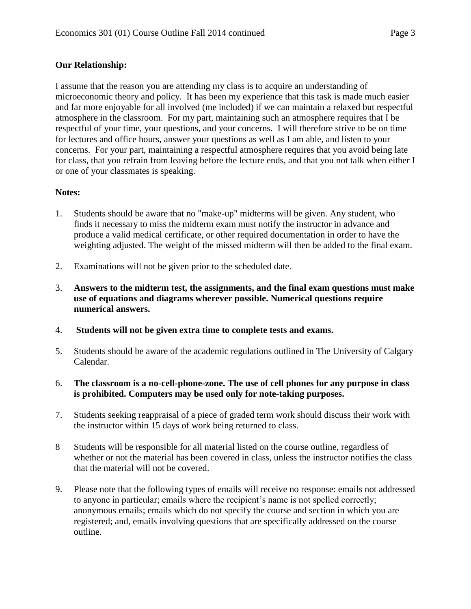## **Our Relationship:**

I assume that the reason you are attending my class is to acquire an understanding of microeconomic theory and policy. It has been my experience that this task is made much easier and far more enjoyable for all involved (me included) if we can maintain a relaxed but respectful atmosphere in the classroom. For my part, maintaining such an atmosphere requires that I be respectful of your time, your questions, and your concerns. I will therefore strive to be on time for lectures and office hours, answer your questions as well as I am able, and listen to your concerns. For your part, maintaining a respectful atmosphere requires that you avoid being late for class, that you refrain from leaving before the lecture ends, and that you not talk when either I or one of your classmates is speaking.

## **Notes:**

- 1. Students should be aware that no "make-up" midterms will be given. Any student, who finds it necessary to miss the midterm exam must notify the instructor in advance and produce a valid medical certificate, or other required documentation in order to have the weighting adjusted. The weight of the missed midterm will then be added to the final exam.
- 2. Examinations will not be given prior to the scheduled date.
- 3. **Answers to the midterm test, the assignments, and the final exam questions must make use of equations and diagrams wherever possible. Numerical questions require numerical answers.**
- 4. **Students will not be given extra time to complete tests and exams.**
- 5. Students should be aware of the academic regulations outlined in The University of Calgary Calendar.
- 6. **The classroom is a no-cell-phone-zone. The use of cell phones for any purpose in class is prohibited. Computers may be used only for note-taking purposes.**
- 7. Students seeking reappraisal of a piece of graded term work should discuss their work with the instructor within 15 days of work being returned to class.
- 8 Students will be responsible for all material listed on the course outline, regardless of whether or not the material has been covered in class, unless the instructor notifies the class that the material will not be covered.
- 9. Please note that the following types of emails will receive no response: emails not addressed to anyone in particular; emails where the recipient's name is not spelled correctly; anonymous emails; emails which do not specify the course and section in which you are registered; and, emails involving questions that are specifically addressed on the course outline.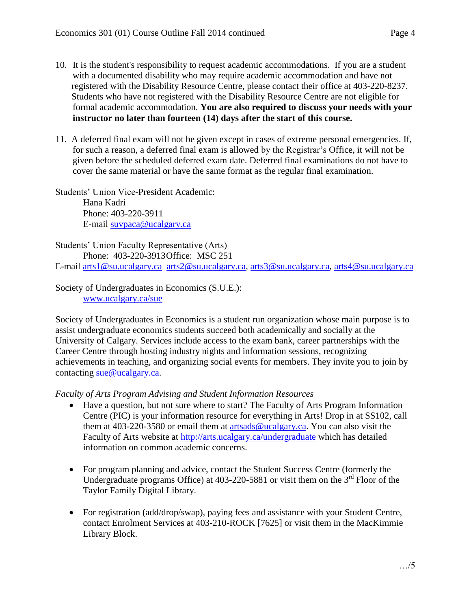- 10. It is the student's responsibility to request academic accommodations. If you are a student with a documented disability who may require academic accommodation and have not registered with the Disability Resource Centre, please contact their office at 403-220-8237. Students who have not registered with the Disability Resource Centre are not eligible for formal academic accommodation. **You are also required to discuss your needs with your instructor no later than fourteen (14) days after the start of this course.**
- 11. A deferred final exam will not be given except in cases of extreme personal emergencies. If, for such a reason, a deferred final exam is allowed by the Registrar's Office, it will not be given before the scheduled deferred exam date. Deferred final examinations do not have to cover the same material or have the same format as the regular final examination.

Students' Union Vice-President Academic: Hana Kadri Phone: 403-220-3911 E-mail [suvpaca@ucalgary.ca](mailto:subpaca@ucalgary.ca)

Students' Union Faculty Representative (Arts) Phone: 403-220-3913Office: MSC 251 E-mail [arts1@su.ucalgary.ca](mailto:arts1@su.ucalgary.ca) [arts2@su.ucalgary.ca,](mailto:arts2@su.ucalgary.ca) [arts3@su.ucalgary.ca,](mailto:arts3@su.ucalgary.ca) [arts4@su.ucalgary.ca](mailto:arts4@su.ucalgary.ca)

Society of Undergraduates in Economics (S.U.E.): [www.ucalgary.ca/sue](http://www.fp.ucalgary.ca/econ)

Society of Undergraduates in Economics is a student run organization whose main purpose is to assist undergraduate economics students succeed both academically and socially at the University of Calgary. Services include access to the exam bank, career partnerships with the Career Centre through hosting industry nights and information sessions, recognizing achievements in teaching, and organizing social events for members. They invite you to join by contacting [sue@ucalgary.ca.](mailto:sue@ucalgary.ca)

*Faculty of Arts Program Advising and Student Information Resources*

- Have a question, but not sure where to start? The Faculty of Arts Program Information Centre (PIC) is your information resource for everything in Arts! Drop in at SS102, call them at 403-220-3580 or email them at [artsads@ucalgary.ca.](mailto:artsads@ucalgary.ca) You can also visit the Faculty of Arts website at<http://arts.ucalgary.ca/undergraduate> which has detailed information on common academic concerns.
- For program planning and advice, contact the Student Success Centre (formerly the Undergraduate programs Office) at  $403-220-5881$  or visit them on the  $3<sup>rd</sup>$  Floor of the Taylor Family Digital Library.
- For registration (add/drop/swap), paying fees and assistance with your Student Centre, contact Enrolment Services at 403-210-ROCK [7625] or visit them in the MacKimmie Library Block.